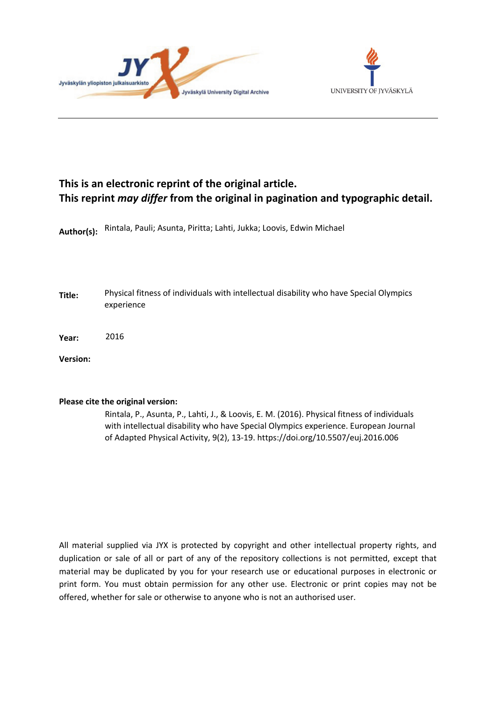



## **This is an electronic reprint of the original article. This reprint** *may differ* **from the original in pagination and typographic detail.**

**Author(s):**  Rintala, Pauli; Asunta, Piritta; Lahti, Jukka; Loovis, Edwin Michael

**Title:** Physical fitness of individuals with intellectual disability who have Special Olympics experience

**Year:**  2016

**Version:**

## **Please cite the original version:**

Rintala, P., Asunta, P., Lahti, J., & Loovis, E. M. (2016). Physical fitness of individuals with intellectual disability who have Special Olympics experience. European Journal of Adapted Physical Activity, 9(2), 13-19. https://doi.org/10.5507/euj.2016.006

All material supplied via JYX is protected by copyright and other intellectual property rights, and duplication or sale of all or part of any of the repository collections is not permitted, except that material may be duplicated by you for your research use or educational purposes in electronic or print form. You must obtain permission for any other use. Electronic or print copies may not be offered, whether for sale or otherwise to anyone who is not an authorised user.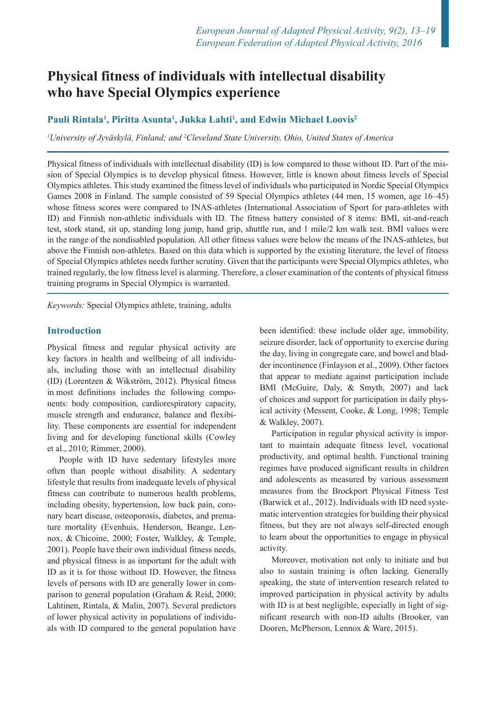# **Physical fitness of individuals with intellectual disability who have Special Olympics experience**

## Pauli Rintala<sup>1</sup>, Piritta Asunta<sup>1</sup>, Jukka Lahti<sup>1</sup>, and Edwin Michael Loovis<sup>2</sup>

*1 University of Jyväskylä, Finland; and 2 Cleveland State University, Ohio, United States of America*

Physical fitness of individuals with intellectual disability (ID) is low compared to those without ID. Part of the mission of Special Olympics is to develop physical fitness. However, little is known about fitness levels of Special Olympics athletes. This study examined the fitness level of individuals who participated in Nordic Special Olympics Games 2008 in Finland. The sample consisted of 59 Special Olympics athletes (44 men, 15 women, age 16–45) whose fitness scores were compared to INAS-athletes (International Association of Sport for para-athletes with ID) and Finnish non-athletic individuals with ID. The fitness battery consisted of 8 items: BMI, sit-and-reach test, stork stand, sit up, standing long jump, hand grip, shuttle run, and 1 mile/2 km walk test. BMI values were in the range of the nondisabled population. All other fitness values were below the means of the INAS-athletes, but above the Finnish non-athletes. Based on this data which is supported by the existing literature, the level of fitness of Special Olympics athletes needs further scrutiny. Given that the participants were Special Olympics athletes, who trained regularly, the low fitness level is alarming. Therefore, a closer examination of the contents of physical fitness training programs in Special Olympics is warranted.

*Keywords:* Special Olympics athlete, training, adults

### **Introduction**

Physical fitness and regular physical activity are key factors in health and wellbeing of all individuals, including those with an intellectual disability (ID) (Lorentzen & Wikström, 2012). Physical fitness in most definitions includes the following components: body composition, cardiorespiratory capacity, muscle strength and endurance, balance and flexibility. These components are essential for independent living and for developing functional skills (Cowley et al., 2010; Rimmer, 2000).

People with ID have sedentary lifestyles more often than people without disability. A sedentary lifestyle that results from inadequate levels of physical fitness can contribute to numerous health problems, including obesity, hypertension, low back pain, coronary heart disease, osteoporosis, diabetes, and premature mortality (Evenhuis, Henderson, Beange, Lennox, & Chicoine, 2000; Foster, Walkley, & Temple, 2001). People have their own individual fitness needs, and physical fitness is as important for the adult with ID as it is for those without ID. However, the fitness levels of persons with ID are generally lower in comparison to general population (Graham & Reid, 2000; Lahtinen, Rintala, & Malin, 2007). Several predictors of lower physical activity in populations of individuals with ID compared to the general population have

been identified: these include older age, immobility, seizure disorder, lack of opportunity to exercise during the day, living in congregate care, and bowel and bladder incontinence (Finlayson et al., 2009). Other factors that appear to mediate against participation include BMI (McGuire, Daly, & Smyth, 2007) and lack of choices and support for participation in daily physical activity (Messent, Cooke, & Long, 1998; Temple & Walkley, 2007).

Participation in regular physical activity is important to maintain adequate fitness level, vocational productivity, and optimal health. Functional training regimes have produced significant results in children and adolescents as measured by various assessment measures from the Brockport Physical Fitness Test (Barwick et al., 2012). Individuals with ID need systematic intervention strategies for building their physical fitness, but they are not always self-directed enough to learn about the opportunities to engage in physical activity.

Moreover, motivation not only to initiate and but also to sustain training is often lacking. Generally speaking, the state of intervention research related to improved participation in physical activity by adults with ID is at best negligible, especially in light of significant research with non-ID adults (Brooker, van Dooren, McPherson, Lennox & Ware, 2015).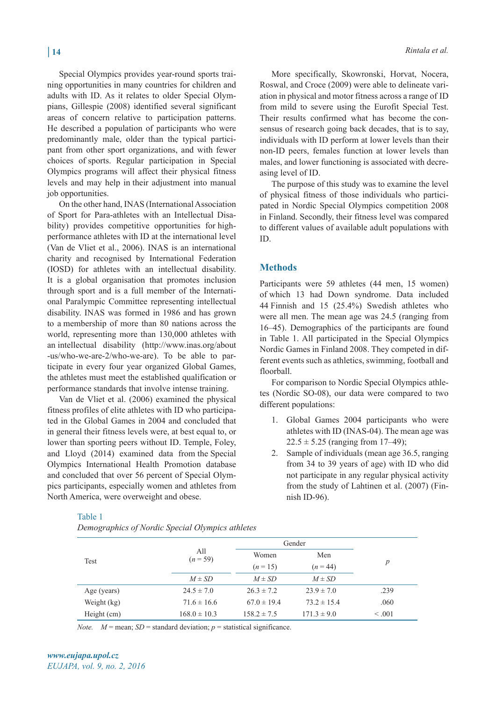Special Olympics provides year-round sports training opportunities in many countries for children and adults with ID. As it relates to older Special Olympians, Gillespie (2008) identified several significant areas of concern relative to participation patterns. He described a population of participants who were predominantly male, older than the typical participant from other sport organizations, and with fewer choices of sports. Regular participation in Special Olympics programs will affect their physical fitness levels and may help in their adjustment into manual job opportunities.

On the other hand, INAS (International Association of Sport for Para-athletes with an Intellectual Disability) provides competitive opportunities for highperformance athletes with ID at the international level (Van de Vliet et al., 2006). INAS is an international charity and recognised by International Federation (IOSD) for athletes with an intellectual disability. It is a global organisation that promotes inclusion through sport and is a full member of the International Paralympic Committee representing intellectual disability. INAS was formed in 1986 and has grown to a membership of more than 80 nations across the world, representing more than 130,000 athletes with an intellectual disability (http://www.inas.org/about -us/who-we-are-2/who-we-are). To be able to participate in every four year organized Global Games, the athletes must meet the established qualification or performance standards that involve intense training.

Van de Vliet et al. (2006) examined the physical fitness profiles of elite athletes with ID who participated in the Global Games in 2004 and concluded that in general their fitness levels were, at best equal to, or lower than sporting peers without ID. Temple, Foley, and Lloyd (2014) examined data from the Special Olympics International Health Promotion database and concluded that over 56 percent of Special Olympics participants, especially women and athletes from North America, were overweight and obese.

#### Table 1

*Demographics of Nordic Special Olympics athletes*

More specifically, Skowronski, Horvat, Nocera, Roswal, and Croce (2009) were able to delineate variation in physical and motor fitness across a range of ID from mild to severe using the Eurofit Special Test. Their results confirmed what has become the consensus of research going back decades, that is to say, individuals with ID perform at lower levels than their non-ID peers, females function at lower levels than males, and lower functioning is associated with decreasing level of ID.

The purpose of this study was to examine the level of physical fitness of those individuals who participated in Nordic Special Olympics competition 2008 in Finland. Secondly, their fitness level was compared to different values of available adult populations with ID.

### **Methods**

Participants were 59 athletes (44 men, 15 women) of which 13 had Down syndrome. Data included 44 Finnish and 15 (25.4%) Swedish athletes who were all men. The mean age was 24.5 (ranging from 16–45). Demographics of the participants are found in Table 1. All participated in the Special Olympics Nordic Games in Finland 2008. They competed in different events such as athletics, swimming, football and floorball.

For comparison to Nordic Special Olympics athletes (Nordic SO-08), our data were compared to two different populations:

- 1. Global Games 2004 participants who were athletes with ID (INAS-04). The mean age was  $22.5 \pm 5.25$  (ranging from 17–49);
- 2. Sample of individuals (mean age 36.5, ranging from 34 to 39 years of age) with ID who did not participate in any regular physical activity from the study of Lahtinen et al. (2007) (Finnish ID-96).

| Test        | A11<br>$(n = 59)$ | Gender          |                 |         |
|-------------|-------------------|-----------------|-----------------|---------|
|             |                   | Women           | Men             |         |
|             |                   | $(n=15)$        | $(n = 44)$      | p       |
|             | $M \pm SD$        | $M \pm SD$      | $M \pm SD$      |         |
| Age (years) | $24.5 \pm 7.0$    | $26.3 \pm 7.2$  | $23.9 \pm 7.0$  | .239    |
| Weight (kg) | $71.6 \pm 16.6$   | $67.0 \pm 19.4$ | $73.2 \pm 15.4$ | .060    |
| Height (cm) | $168.0 \pm 10.3$  | $158.2 \pm 7.5$ | $171.3 \pm 9.0$ | < 0.001 |

*Note.*  $M = \text{mean}$ ;  $SD = \text{standard deviation}$ ;  $p = \text{statistical significance}$ .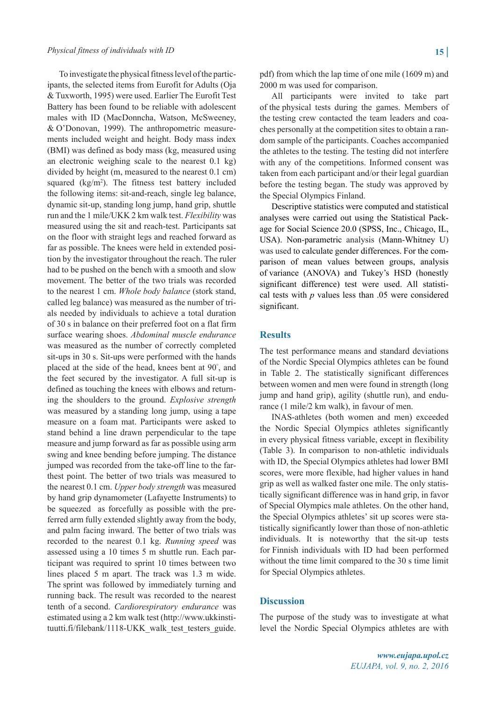To investigate the physical fitness level of the participants, the selected items from Eurofit for Adults (Oja & Tuxworth, 1995) were used. Earlier The Eurofit Test Battery has been found to be reliable with adolescent males with ID (MacDonncha, Watson, McSweeney, & O'Donovan, 1999). The anthropometric measurements included weight and height. Body mass index (BMI) was defined as body mass (kg, measured using an electronic weighing scale to the nearest 0.1 kg) divided by height (m, measured to the nearest 0.1 cm) squared  $(kg/m<sup>2</sup>)$ . The fitness test battery included the following items: sit-and-reach, single leg balance, dynamic sit-up, standing long jump, hand grip, shuttle run and the 1 mile/UKK 2 km walk test. *Flexibility* was measured using the sit and reach-test. Participants sat on the floor with straight legs and reached forward as far as possible. The knees were held in extended position by the investigator throughout the reach. The ruler had to be pushed on the bench with a smooth and slow movement. The better of the two trials was recorded to the nearest 1 cm. *Whole body balance* (stork stand, called leg balance) was measured as the number of trials needed by individuals to achieve a total duration of 30 s in balance on their preferred foot on a flat firm surface wearing shoes. *Abdominal muscle endurance* was measured as the number of correctly completed sit-ups in 30 s. Sit-ups were performed with the hands placed at the side of the head, knees bent at 90° , and the feet secured by the investigator. A full sit-up is defined as touching the knees with elbows and returning the shoulders to the ground. *Explosive strength* was measured by a standing long jump, using a tape measure on a foam mat. Participants were asked to stand behind a line drawn perpendicular to the tape measure and jump forward as far as possible using arm swing and knee bending before jumping. The distance jumped was recorded from the take-off line to the farthest point. The better of two trials was measured to the nearest 0.1 cm. *Upper body strength* was measured by hand grip dynamometer (Lafayette Instruments) to be squeezed as forcefully as possible with the preferred arm fully extended slightly away from the body, and palm facing inward. The better of two trials was recorded to the nearest 0.1 kg. *Running speed* was assessed using a 10 times 5 m shuttle run. Each participant was required to sprint 10 times between two lines placed 5 m apart. The track was 1.3 m wide. The sprint was followed by immediately turning and running back. The result was recorded to the nearest tenth of a second. *Cardiorespiratory endurance* was estimated using a 2 km walk test (http://www.ukkinstituutti.fi/filebank/1118-UKK\_walk\_test\_testers\_guide.

pdf) from which the lap time of one mile (1609 m) and 2000 m was used for comparison.

All participants were invited to take part of the physical tests during the games. Members of the testing crew contacted the team leaders and coaches personally at the competition sites to obtain a random sample of the participants. Coaches accompanied the athletes to the testing. The testing did not interfere with any of the competitions. Informed consent was taken from each participant and/or their legal guardian before the testing began. The study was approved by the Special Olympics Finland.

Descriptive statistics were computed and statistical analyses were carried out using the Statistical Package for Social Science 20.0 (SPSS, Inc., Chicago, IL, USA). Non-parametric analysis (Mann-Whitney U) was used to calculate gender differences. For the comparison of mean values between groups, analysis of variance (ANOVA) and Tukey's HSD (honestly significant difference) test were used. All statistical tests with *p* values less than .05 were considered significant.

## **Results**

The test performance means and standard deviations of the Nordic Special Olympics athletes can be found in Table 2. The statistically significant differences between women and men were found in strength (long jump and hand grip), agility (shuttle run), and endurance (1 mile/2 km walk), in favour of men.

INAS-athletes (both women and men) exceeded the Nordic Special Olympics athletes significantly in every physical fitness variable, except in flexibility (Table 3). In comparison to non-athletic individuals with ID, the Special Olympics athletes had lower BMI scores, were more flexible, had higher values in hand grip as well as walked faster one mile. The only statistically significant difference was in hand grip, in favor of Special Olympics male athletes. On the other hand, the Special Olympics athletes' sit up scores were statistically significantly lower than those of non-athletic individuals. It is noteworthy that the sit-up tests for Finnish individuals with ID had been performed without the time limit compared to the 30 s time limit for Special Olympics athletes.

#### **Discussion**

The purpose of the study was to investigate at what level the Nordic Special Olympics athletes are with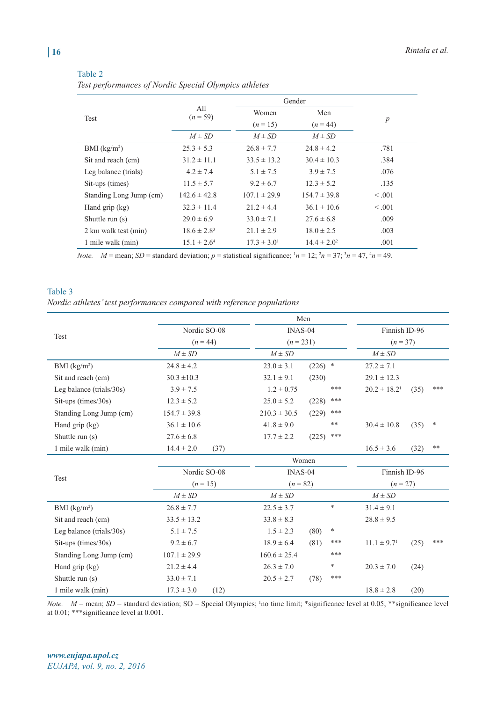|                         | All<br>$(n = 59)$ | Gender           |                  |                  |
|-------------------------|-------------------|------------------|------------------|------------------|
|                         |                   | Women            | Men              |                  |
| Test                    |                   | $(n=15)$         | $(n = 44)$       | $\boldsymbol{p}$ |
|                         | $M \pm SD$        | $M \pm SD$       | $M \pm SD$       |                  |
| BMI $(kg/m2)$           | $25.3 \pm 5.3$    | $26.8 \pm 7.7$   | $24.8 \pm 4.2$   | .781             |
| Sit and reach (cm)      | $31.2 \pm 11.1$   | $33.5 \pm 13.2$  | $30.4 \pm 10.3$  | .384             |
| Leg balance (trials)    | $4.2 \pm 7.4$     | $5.1 \pm 7.5$    | $3.9 \pm 7.5$    | .076             |
| Sit-ups (times)         | $11.5 \pm 5.7$    | $9.2 \pm 6.7$    | $12.3 \pm 5.2$   | .135             |
| Standing Long Jump (cm) | $142.6 \pm 42.8$  | $107.1 \pm 29.9$ | $154.7 \pm 39.8$ | $\leq .001$      |
| Hand $\chi$ rip $(kg)$  | $32.3 \pm 11.4$   | $21.2 \pm 4.4$   | $36.1 \pm 10.6$  | $\leq .001$      |
| Shuttle run $(s)$       | $29.0 \pm 6.9$    | $33.0 \pm 7.1$   | $27.6 \pm 6.8$   | .009             |
| 2 km walk test (min)    | $18.6 \pm 2.8^3$  | $21.1 \pm 2.9$   | $18.0 \pm 2.5$   | .003             |
| 1 mile walk (min)       | $15.1 \pm 2.6^4$  | $17.3 \pm 3.0^1$ | $14.4 \pm 2.0^2$ | .001             |

Table 2

*Test performances of Nordic Special Olympics athletes*

*Note.*  $M = \text{mean}$ ;  $SD = \text{standard deviation}$ ;  $p = \text{statistical significance}$ ;  $n = 12$ ;  $n = 37$ ;  $n = 47$ ,  $n = 49$ .

#### Table 3

*Nordic athletes' test performances compared with reference populations* 

|                              |                        | Men                               |                                             |  |  |  |  |
|------------------------------|------------------------|-----------------------------------|---------------------------------------------|--|--|--|--|
|                              | Nordic SO-08           | INAS-04                           | Finnish ID-96                               |  |  |  |  |
| Test                         | $(n = 44)$             | $(n = 231)$                       | $(n=37)$                                    |  |  |  |  |
|                              | $M \pm SD$             | $M \pm SD$                        | $M \pm SD$                                  |  |  |  |  |
| BMI $(kg/m2)$                | $24.8 \pm 4.2$         | $\ast$<br>$23.0 \pm 3.1$<br>(226) | $27.2 \pm 7.1$                              |  |  |  |  |
| Sit and reach (cm)           | $30.3 \pm 10.3$        | $32.1 \pm 9.1$<br>(230)           | $29.1 \pm 12.3$                             |  |  |  |  |
| Leg balance (trials/ $30s$ ) | $3.9 \pm 7.5$          | ***<br>$1.2 \pm 0.75$             | ***<br>$20.2 \pm 18.2$ <sup>1</sup><br>(35) |  |  |  |  |
| Sit-ups (times/30s)          | $12.3 \pm 5.2$         | $***$<br>$25.0 \pm 5.2$<br>(228)  |                                             |  |  |  |  |
| Standing Long Jump (cm)      | $154.7 \pm 39.8$       | ***<br>$210.3 \pm 30.5$<br>(229)  |                                             |  |  |  |  |
| Hand grip (kg)               | $36.1 \pm 10.6$        | **<br>$41.8 \pm 9.0$              | ∗<br>$30.4 \pm 10.8$<br>(35)                |  |  |  |  |
| Shuttle run (s)              | $27.6 \pm 6.8$         | ***<br>$17.7 \pm 2.2$<br>(225)    |                                             |  |  |  |  |
| 1 mile walk (min)            | $14.4 \pm 2.0$<br>(37) |                                   | $**$<br>$16.5 \pm 3.6$<br>(32)              |  |  |  |  |
|                              | Women                  |                                   |                                             |  |  |  |  |
|                              | Nordic SO-08           | $INAS-04$                         | Finnish ID-96                               |  |  |  |  |
| Test                         | $(n = 15)$             | $(n = 82)$                        | $(n = 27)$                                  |  |  |  |  |
|                              | $M \pm SD$             | $M \pm SD$                        | $M \pm SD$                                  |  |  |  |  |
| BMI $(kg/m2)$                | $26.8 \pm 7.7$         | $\ast$<br>$22.5 \pm 3.7$          | $31.4 \pm 9.1$                              |  |  |  |  |
| Sit and reach (cm)           | $33.5 \pm 13.2$        | $33.8 \pm 8.3$                    | $28.8 \pm 9.5$                              |  |  |  |  |
| Leg balance (trials/ $30s$ ) | $5.1 \pm 7.5$          | $\ast$<br>$1.5 \pm 2.3$<br>(80)   |                                             |  |  |  |  |
| Sit-ups (times/30s)          | $9.2 \pm 6.7$          | ***<br>$18.9 \pm 6.4$<br>(81)     | ***<br>(25)<br>$11.1 \pm 9.7$ <sup>1</sup>  |  |  |  |  |
| Standing Long Jump (cm)      | $107.1 \pm 29.9$       | ***<br>$160.6 \pm 25.4$           |                                             |  |  |  |  |
| Hand grip (kg)               | $21.2 \pm 4.4$         | *<br>$26.3 \pm 7.0$               | $20.3 \pm 7.0$<br>(24)                      |  |  |  |  |
| Shuttle run (s)              | $33.0 \pm 7.1$         | ***<br>$20.5 \pm 2.7$<br>(78)     |                                             |  |  |  |  |
| 1 mile walk (min)            | $17.3 \pm 3.0$<br>(12) |                                   | $18.8 \pm 2.8$<br>(20)                      |  |  |  |  |

*Note.*  $M$  = mean;  $SD$  = standard deviation; SO = Special Olympics; <sup>1</sup> no time limit; \*significance level at 0.05; \*\*significance level at 0.01; \*\*\*significance level at 0.001.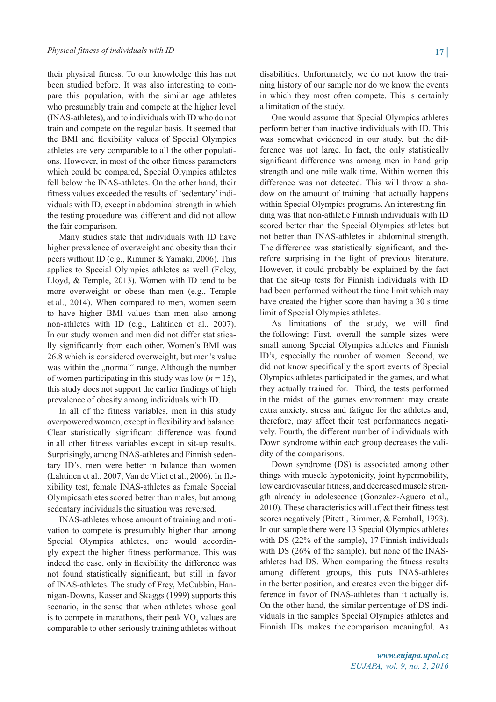their physical fitness. To our knowledge this has not been studied before. It was also interesting to compare this population, with the similar age athletes who presumably train and compete at the higher level (INAS-athletes), and to individuals with ID who do not train and compete on the regular basis. It seemed that the BMI and flexibility values of Special Olympics athletes are very comparable to all the other populations. However, in most of the other fitness parameters which could be compared, Special Olympics athletes fell below the INAS-athletes. On the other hand, their fitness values exceeded the results of 'sedentary' individuals with ID, except in abdominal strength in which the testing procedure was different and did not allow the fair comparison.

Many studies state that individuals with ID have higher prevalence of overweight and obesity than their peers without ID (e.g., Rimmer & Yamaki, 2006). This applies to Special Olympics athletes as well (Foley, Lloyd, & Temple, 2013). Women with ID tend to be more overweight or obese than men (e.g., Temple et al., 2014). When compared to men, women seem to have higher BMI values than men also among non-athletes with ID (e.g., Lahtinen et al., 2007). In our study women and men did not differ statistically significantly from each other. Women's BMI was 26.8 which is considered overweight, but men's value was within the "normal" range. Although the number of women participating in this study was low  $(n = 15)$ , this study does not support the earlier findings of high prevalence of obesity among individuals with ID.

In all of the fitness variables, men in this study overpowered women, except in flexibility and balance. Clear statistically significant difference was found in all other fitness variables except in sit-up results. Surprisingly, among INAS-athletes and Finnish sedentary ID's, men were better in balance than women (Lahtinen et al., 2007; Van de Vliet et al., 2006). In flexibility test, female INAS-athletes as female Special Olympicsathletes scored better than males, but among sedentary individuals the situation was reversed.

INAS-athletes whose amount of training and motivation to compete is presumably higher than among Special Olympics athletes, one would accordingly expect the higher fitness performance. This was indeed the case, only in flexibility the difference was not found statistically significant, but still in favor of INAS-athletes. The study of Frey, McCubbin, Hannigan-Downs, Kasser and Skaggs (1999) supports this scenario, in the sense that when athletes whose goal is to compete in marathons, their peak  $VO<sub>2</sub>$  values are comparable to other seriously training athletes without

disabilities. Unfortunately, we do not know the training history of our sample nor do we know the events in which they most often compete. This is certainly a limitation of the study.

One would assume that Special Olympics athletes perform better than inactive individuals with ID. This was somewhat evidenced in our study, but the difference was not large. In fact, the only statistically significant difference was among men in hand grip strength and one mile walk time. Within women this difference was not detected. This will throw a shadow on the amount of training that actually happens within Special Olympics programs. An interesting finding was that non-athletic Finnish individuals with ID scored better than the Special Olympics athletes but not better than INAS-athletes in abdominal strength. The difference was statistically significant, and therefore surprising in the light of previous literature. However, it could probably be explained by the fact that the sit-up tests for Finnish individuals with ID had been performed without the time limit which may have created the higher score than having a 30 s time limit of Special Olympics athletes.

As limitations of the study, we will find the following: First, overall the sample sizes were small among Special Olympics athletes and Finnish ID's, especially the number of women. Second, we did not know specifically the sport events of Special Olympics athletes participated in the games, and what they actually trained for. Third, the tests performed in the midst of the games environment may create extra anxiety, stress and fatigue for the athletes and, therefore, may affect their test performances negatively. Fourth, the different number of individuals with Down syndrome within each group decreases the validity of the comparisons.

Down syndrome (DS) is associated among other things with muscle hypotonicity, joint hypermobility, low cardiovascular fitness, and decreased muscle strength already in adolescence (Gonzalez-Aguero et al., 2010). These characteristics will affect their fitness test scores negatively (Pitetti, Rimmer, & Fernhall, 1993). In our sample there were 13 Special Olympics athletes with DS (22% of the sample), 17 Finnish individuals with DS (26% of the sample), but none of the INASathletes had DS. When comparing the fitness results among different groups, this puts INAS-athletes in the better position, and creates even the bigger difference in favor of INAS-athletes than it actually is. On the other hand, the similar percentage of DS individuals in the samples Special Olympics athletes and Finnish IDs makes the comparison meaningful. As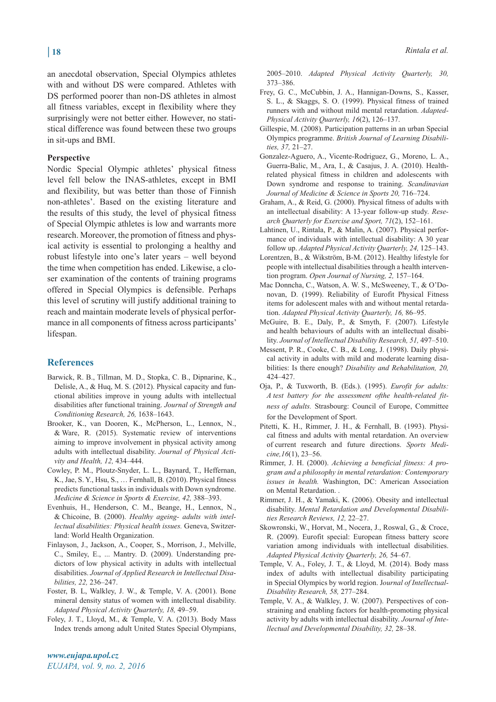an anecdotal observation, Special Olympics athletes with and without DS were compared. Athletes with DS performed poorer than non-DS athletes in almost all fitness variables, except in flexibility where they surprisingly were not better either. However, no statistical difference was found between these two groups in sit-ups and BMI.

#### **Perspective**

Nordic Special Olympic athletes' physical fitness level fell below the INAS-athletes, except in BMI and flexibility, but was better than those of Finnish non-athletes'. Based on the existing literature and the results of this study, the level of physical fitness of Special Olympic athletes is low and warrants more research. Moreover, the promotion of fitness and physical activity is essential to prolonging a healthy and robust lifestyle into one's later years – well beyond the time when competition has ended. Likewise, a closer examination of the contents of training programs offered in Special Olympics is defensible. Perhaps this level of scrutiny will justify additional training to reach and maintain moderate levels of physical performance in all components of fitness across participants' lifespan.

#### **References**

- Barwick, R. B., Tillman, M. D., Stopka, C. B., Dipnarine, K., Delisle, A., & Huq, M. S. (2012). Physical capacity and functional abilities improve in young adults with intellectual disabilities after functional training. *Journal of Strength and Conditioning Research, 26,* 1638–1643.
- Brooker, K., van Dooren, K., McPherson, L., Lennox, N., & Ware, R. (2015). Systematic review of interventions aiming to improve involvement in physical activity among adults with intellectual disability. *Journal of Physical Activity and Health, 12,* 434–444.
- Cowley, P. M., Ploutz-Snyder, L. L., Baynard, T., Heffernan, K., Jae, S. Y., Hsu, S., … Fernhall, B. (2010). Physical fitness predicts functional tasks in individuals with Down syndrome. *Medicine & Science in Sports & Exercise, 42,* 388–393.
- Evenhuis, H., Henderson, C. M., Beange, H., Lennox, N., & Chicoine, B. (2000). *Healthy ageing- adults with intellectual disabilities: Physical health issues.* Geneva, Switzerland: World Health Organization.
- Finlayson, J., Jackson, A., Cooper, S., Morrison, J., Melville, C., Smiley, E., ... Mantry. D. (2009). Understanding predictors of low physical activity in adults with intellectual disabilities. *Journal of Applied Research in Intellectual Disabilities, 22,* 236–247.
- Foster, B. L, Walkley, J. W., & Temple, V. A. (2001). Bone mineral density status of women with intellectual disability. *Adapted Physical Activity Quarterly, 18,* 49–59.
- Foley, J. T., Lloyd, M., & Temple, V. A. (2013). Body Mass Index trends among adult United States Special Olympians,

2005–2010. *Adapted Physical Activity Quarterly, 30,*  373–386.

- Frey, G. C., McCubbin, J. A., Hannigan-Downs, S., Kasser, S. L., & Skaggs, S. O. (1999). Physical fitness of trained runners with and without mild mental retardation. *Adapted-Physical Activity Quarterly, 16*(2), 126–137.
- Gillespie, M. (2008). Participation patterns in an urban Special Olympics programme. *British Journal of Learning Disabilities, 37,* 21–27.
- Gonzalez-Aguero, A., Vicente-Rodriguez, G., Moreno, L. A., Guerra-Balic, M., Ara, I., & Casajus, J. A. (2010). Health-related physical fitness in children and adolescents with Down syndrome and response to training. *Scandinavian Journal of Medicine & Science in Sports 20,* 716–724.
- Graham, A., & Reid, G. (2000). Physical fitness of adults with an intellectual disability: A 13-year follow-up study. *Research Quarterly for Exercise and Sport, 71*(2), 152–161.
- Lahtinen, U., Rintala, P., & Malin, A. (2007). Physical performance of individuals with intellectual disability: A 30 year follow up. *Adapted Physical Activity Quarterly, 24,* 125–143.
- Lorentzen, B., & Wikström, B-M. (2012). Healthy lifestyle for people with intellectual disabilities through a health intervention program. *Open Journal of Nursing, 2,* 157–164.
- Mac Donncha, C., Watson, A. W. S., McSweeney, T., & O'Donovan, D. (1999). Reliability of Eurofit Physical Fitness items for adolescent males with and without mental retardation. *Adapted Physical Activity Quarterly, 16,* 86–95.
- McGuire, B. E., Daly, P., & Smyth, F. (2007). Lifestyle and health behaviours of adults with an intellectual disability. *Journal of Intellectual Disability Research, 51,* 497–510.
- Messent, P. R., Cooke, C. B., & Long, J. (1998). Daily physical activity in adults with mild and moderate learning disabilities: Is there enough? *Disability and Rehabilitation, 20,*  424–427.
- Oja, P., & Tuxworth, B. (Eds.). (1995). *Eurofit for adults: A test battery for the assessment ofthe health-related fitness of adults.* Strasbourg: Council of Europe, Committee for the Development of Sport.
- Pitetti, K. H., Rimmer, J. H., & Fernhall, B. (1993). Physical fitness and adults with mental retardation. An overview of current research and future directions. *Sports Medicine,16*(1), 23–56.
- Rimmer, J. H. (2000). *Achieving a beneficial fitness: A program and a philosophy in mental retardation: Contemporary issues in health.* Washington, DC: American Association on Mental Retardation. .
- Rimmer, J. H., & Yamaki, K. (2006). Obesity and intellectual disability. *Mental Retardation and Developmental Disabilities Research Reviews, 12,* 22–27.
- Skowronski, W., Horvat, M., Nocera, J., Roswal, G., & Croce, R. (2009). Eurofit special: European fitness battery score variation among individuals with intellectual disabilities. *Adapted Physical Activity Quarterly, 26,* 54–67.
- Temple, V. A., Foley, J. T., & Lloyd, M. (2014). Body mass index of adults with intellectual disability participating in Special Olympics by world region. J*ournal of Intellectual-Disability Research, 58,* 277–284.
- Temple, V. A., & Walkley, J. W. (2007). Perspectives of constraining and enabling factors for health-promoting physical activity by adults with intellectual disability. *Journal of Intellectual and Developmental Disability, 32,* 28–38.

*www.eujapa.upol.cz EUJAPA, vol. 9, no. 2, 2016*